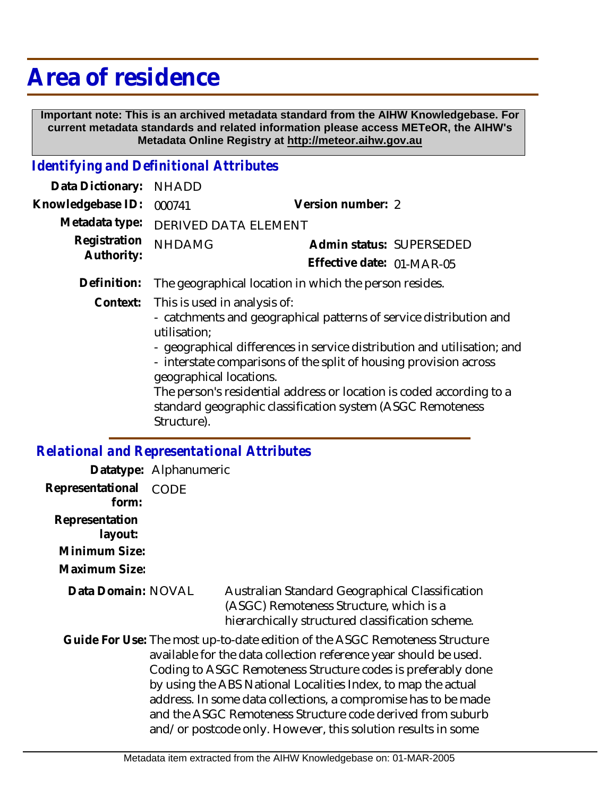## **Area of residence**

 **Important note: This is an archived metadata standard from the AIHW Knowledgebase. For current metadata standards and related information please access METeOR, the AIHW's Metadata Online Registry at http://meteor.aihw.gov.au**

## *Identifying and Definitional Attributes*

| Data Dictionary:                             | <b>NHADD</b>                                                                                                                                                                                                                                                                                                                                                                                                                                       |                           |
|----------------------------------------------|----------------------------------------------------------------------------------------------------------------------------------------------------------------------------------------------------------------------------------------------------------------------------------------------------------------------------------------------------------------------------------------------------------------------------------------------------|---------------------------|
| Knowledgebase ID:                            | 000741                                                                                                                                                                                                                                                                                                                                                                                                                                             | Version number: 2         |
| Metadata type:<br>Registration<br>Authority: | <b>DERIVED DATA ELEMENT</b>                                                                                                                                                                                                                                                                                                                                                                                                                        |                           |
|                                              | <b>NHDAMG</b>                                                                                                                                                                                                                                                                                                                                                                                                                                      | Admin status: SUPERSEDED  |
|                                              |                                                                                                                                                                                                                                                                                                                                                                                                                                                    | Effective date: 01-MAR-05 |
| Definition:                                  | The geographical location in which the person resides.                                                                                                                                                                                                                                                                                                                                                                                             |                           |
| Context:                                     | This is used in analysis of:<br>- catchments and geographical patterns of service distribution and<br>utilisation;<br>- geographical differences in service distribution and utilisation; and<br>- interstate comparisons of the split of housing provision across<br>geographical locations.<br>The person's residential address or location is coded according to a<br>standard geographic classification system (ASGC Remoteness<br>Structure). |                           |
|                                              | <b>Relational and Representational Attributes</b>                                                                                                                                                                                                                                                                                                                                                                                                  |                           |

|                                                                                                                                                                                                                                                                                                                                                                                                                                                                                  | Datatype: Alphanumeric |                                                                                                                                                |
|----------------------------------------------------------------------------------------------------------------------------------------------------------------------------------------------------------------------------------------------------------------------------------------------------------------------------------------------------------------------------------------------------------------------------------------------------------------------------------|------------------------|------------------------------------------------------------------------------------------------------------------------------------------------|
| Representational<br>form:                                                                                                                                                                                                                                                                                                                                                                                                                                                        | CODE                   |                                                                                                                                                |
| Representation<br>layout:                                                                                                                                                                                                                                                                                                                                                                                                                                                        |                        |                                                                                                                                                |
| Minimum Size:                                                                                                                                                                                                                                                                                                                                                                                                                                                                    |                        |                                                                                                                                                |
| Maximum Size:                                                                                                                                                                                                                                                                                                                                                                                                                                                                    |                        |                                                                                                                                                |
| Data Domain: NOVAL                                                                                                                                                                                                                                                                                                                                                                                                                                                               |                        | Australian Standard Geographical Classification<br>(ASGC) Remoteness Structure, which is a<br>hierarchically structured classification scheme. |
| Guide For Use: The most up-to-date edition of the ASGC Remoteness Structure<br>available for the data collection reference year should be used.<br>Coding to ASGC Remoteness Structure codes is preferably done<br>by using the ABS National Localities Index, to map the actual<br>address. In some data collections, a compromise has to be made<br>and the ASGC Remoteness Structure code derived from suburb<br>and/or postcode only. However, this solution results in some |                        |                                                                                                                                                |